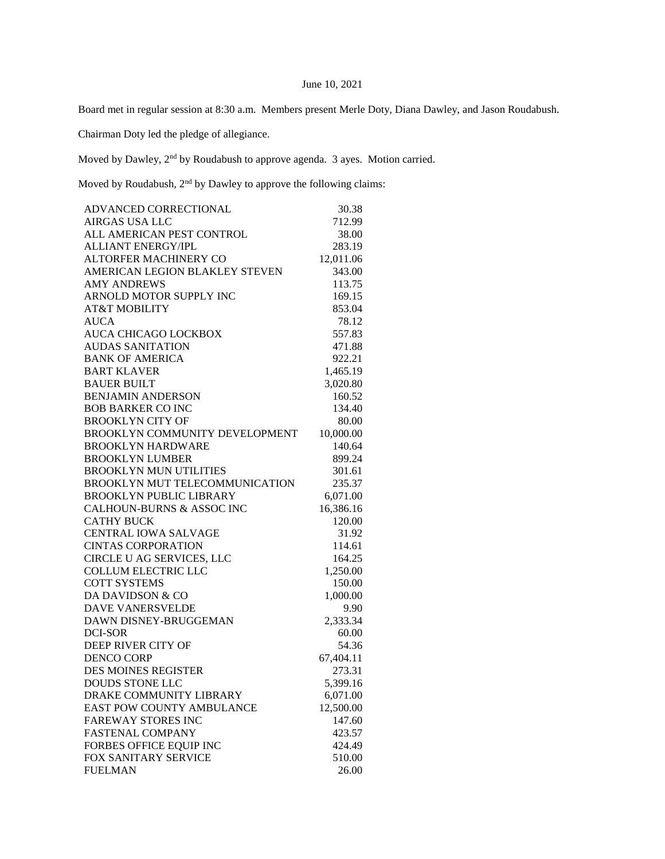## June 10, 2021

Board met in regular session at 8:30 a.m. Members present Merle Doty, Diana Dawley, and Jason Roudabush.

Chairman Doty led the pledge of allegiance.

Moved by Dawley,  $2<sup>nd</sup>$  by Roudabush to approve agenda. 3 ayes. Motion carried.

Moved by Roudabush,  $2<sup>nd</sup>$  by Dawley to approve the following claims:

| ADVANCED CORRECTIONAL          | 30.38     |
|--------------------------------|-----------|
| <b>AIRGAS USA LLC</b>          | 712.99    |
| ALL AMERICAN PEST CONTROL      | 38.00     |
| <b>ALLIANT ENERGY/IPL</b>      | 283.19    |
| <b>ALTORFER MACHINERY CO</b>   | 12,011.06 |
| AMERICAN LEGION BLAKLEY STEVEN | 343.00    |
| <b>AMY ANDREWS</b>             | 113.75    |
| ARNOLD MOTOR SUPPLY INC        | 169.15    |
| <b>AT&amp;T MOBILITY</b>       | 853.04    |
| <b>AUCA</b>                    | 78.12     |
| AUCA CHICAGO LOCKBOX           | 557.83    |
| <b>AUDAS SANITATION</b>        | 471.88    |
| <b>BANK OF AMERICA</b>         | 922.21    |
| <b>BART KLAVER</b>             | 1,465.19  |
| <b>BAUER BUILT</b>             | 3,020.80  |
| <b>BENJAMIN ANDERSON</b>       | 160.52    |
| <b>BOB BARKER CO INC</b>       | 134.40    |
| <b>BROOKLYN CITY OF</b>        | 80.00     |
| BROOKLYN COMMUNITY DEVELOPMENT | 10,000.00 |
| <b>BROOKLYN HARDWARE</b>       | 140.64    |
| <b>BROOKLYN LUMBER</b>         | 899.24    |
| <b>BROOKLYN MUN UTILITIES</b>  | 301.61    |
| BROOKLYN MUT TELECOMMUNICATION | 235.37    |
| <b>BROOKLYN PUBLIC LIBRARY</b> | 6,071.00  |
| CALHOUN-BURNS & ASSOC INC      | 16,386.16 |
| <b>CATHY BUCK</b>              | 120.00    |
| <b>CENTRAL IOWA SALVAGE</b>    | 31.92     |
| <b>CINTAS CORPORATION</b>      | 114.61    |
| CIRCLE U AG SERVICES, LLC      | 164.25    |
| <b>COLLUM ELECTRIC LLC</b>     | 1,250.00  |
| <b>COTT SYSTEMS</b>            | 150.00    |
| DA DAVIDSON & CO               | 1,000.00  |
| <b>DAVE VANERSVELDE</b>        | 9.90      |
| DAWN DISNEY-BRUGGEMAN          | 2,333.34  |
| <b>DCI-SOR</b>                 | 60.00     |
| DEEP RIVER CITY OF             | 54.36     |
| <b>DENCO CORP</b>              | 67,404.11 |
| <b>DES MOINES REGISTER</b>     | 273.31    |
| <b>DOUDS STONE LLC</b>         | 5,399.16  |
| DRAKE COMMUNITY LIBRARY        | 6,071.00  |
| EAST POW COUNTY AMBULANCE      | 12,500.00 |
| <b>FAREWAY STORES INC</b>      | 147.60    |
| <b>FASTENAL COMPANY</b>        | 423.57    |
| FORBES OFFICE EQUIP INC        | 424.49    |
| FOX SANITARY SERVICE           | 510.00    |
| <b>FUELMAN</b>                 | 26.00     |
|                                |           |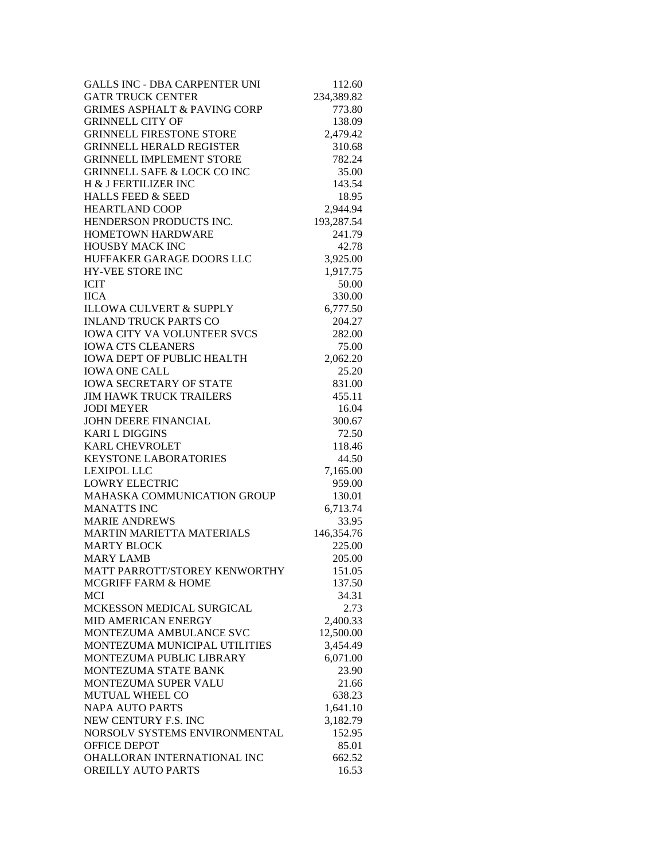| <b>GALLS INC - DBA CARPENTER UNI</b>    | 112.60     |
|-----------------------------------------|------------|
| <b>GATR TRUCK CENTER</b>                | 234,389.82 |
| <b>GRIMES ASPHALT &amp; PAVING CORP</b> | 773.80     |
| <b>GRINNELL CITY OF</b>                 | 138.09     |
| <b>GRINNELL FIRESTONE STORE</b>         | 2,479.42   |
| <b>GRINNELL HERALD REGISTER</b>         | 310.68     |
| <b>GRINNELL IMPLEMENT STORE</b>         | 782.24     |
| <b>GRINNELL SAFE &amp; LOCK CO INC</b>  | 35.00      |
| H & J FERTILIZER INC                    | 143.54     |
| <b>HALLS FEED &amp; SEED</b>            | 18.95      |
| <b>HEARTLAND COOP</b>                   | 2,944.94   |
| HENDERSON PRODUCTS INC.                 | 193,287.54 |
| <b>HOMETOWN HARDWARE</b>                | 241.79     |
| <b>HOUSBY MACK INC</b>                  | 42.78      |
| HUFFAKER GARAGE DOORS LLC               | 3,925.00   |
| <b>HY-VEE STORE INC</b>                 | 1,917.75   |
| <b>ICIT</b>                             | 50.00      |
| <b>IICA</b>                             | 330.00     |
| <b>ILLOWA CULVERT &amp; SUPPLY</b>      | 6,777.50   |
| <b>INLAND TRUCK PARTS CO</b>            | 204.27     |
| <b>IOWA CITY VA VOLUNTEER SVCS</b>      | 282.00     |
| <b>IOWA CTS CLEANERS</b>                | 75.00      |
| <b>IOWA DEPT OF PUBLIC HEALTH</b>       | 2,062.20   |
| <b>IOWA ONE CALL</b>                    | 25.20      |
| <b>IOWA SECRETARY OF STATE</b>          | 831.00     |
| <b>JIM HAWK TRUCK TRAILERS</b>          | 455.11     |
| <b>JODI MEYER</b>                       | 16.04      |
| JOHN DEERE FINANCIAL                    | 300.67     |
| <b>KARI L DIGGINS</b>                   | 72.50      |
| <b>KARL CHEVROLET</b>                   | 118.46     |
| <b>KEYSTONE LABORATORIES</b>            | 44.50      |
| <b>LEXIPOL LLC</b>                      | 7,165.00   |
| <b>LOWRY ELECTRIC</b>                   | 959.00     |
| <b>MAHASKA COMMUNICATION GROUP</b>      | 130.01     |
| <b>MANATTS INC</b>                      | 6,713.74   |
| <b>MARIE ANDREWS</b>                    | 33.95      |
| <b>MARTIN MARIETTA MATERIALS</b>        | 146,354.76 |
| <b>MARTY BLOCK</b>                      | 225.00     |
| <b>MARY LAMB</b>                        | 205.00     |
| MATT PARROTT/STOREY KENWORTHY           | 151.05     |
| <b>MCGRIFF FARM &amp; HOME</b>          | 137.50     |
| <b>MCI</b>                              | 34.31      |
| MCKESSON MEDICAL SURGICAL               | 2.73       |
| MID AMERICAN ENERGY                     | 2,400.33   |
| MONTEZUMA AMBULANCE SVC                 | 12,500.00  |
| MONTEZUMA MUNICIPAL UTILITIES           | 3,454.49   |
| MONTEZUMA PUBLIC LIBRARY                | 6,071.00   |
| MONTEZUMA STATE BANK                    | 23.90      |
| MONTEZUMA SUPER VALU                    | 21.66      |
| MUTUAL WHEEL CO                         | 638.23     |
| <b>NAPA AUTO PARTS</b>                  | 1,641.10   |
| NEW CENTURY F.S. INC                    | 3,182.79   |
| NORSOLV SYSTEMS ENVIRONMENTAL           | 152.95     |
| OFFICE DEPOT                            | 85.01      |
| OHALLORAN INTERNATIONAL INC             | 662.52     |
| OREILLY AUTO PARTS                      | 16.53      |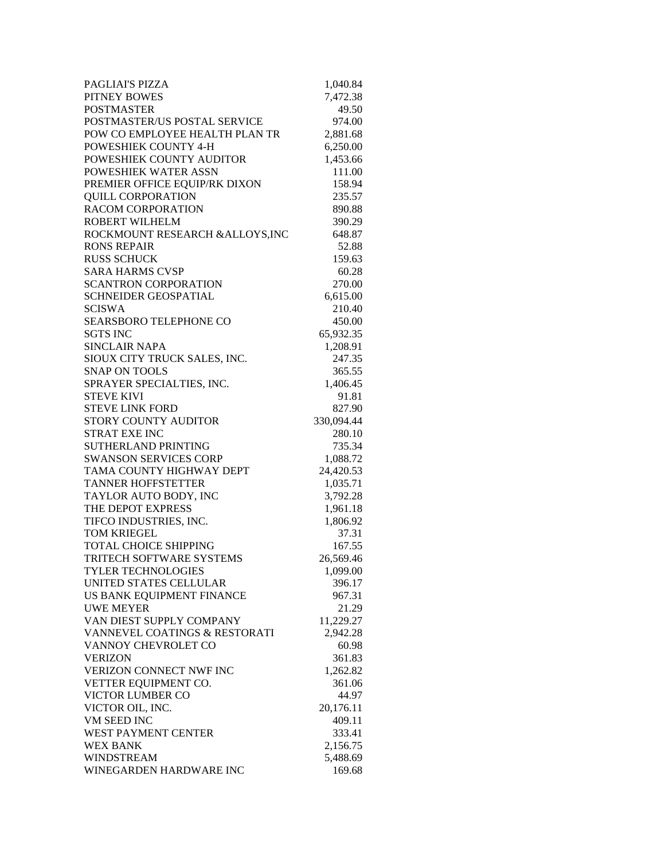| PAGLIAI'S PIZZA                  | 1,040.84   |
|----------------------------------|------------|
| <b>PITNEY BOWES</b>              | 7,472.38   |
| <b>POSTMASTER</b>                | 49.50      |
| POSTMASTER/US POSTAL SERVICE     | 974.00     |
| POW CO EMPLOYEE HEALTH PLAN TR   | 2,881.68   |
| POWESHIEK COUNTY 4-H             | 6,250.00   |
| POWESHIEK COUNTY AUDITOR         | 1,453.66   |
| POWESHIEK WATER ASSN             | 111.00     |
| PREMIER OFFICE EQUIP/RK DIXON    | 158.94     |
| <b>QUILL CORPORATION</b>         | 235.57     |
| <b>RACOM CORPORATION</b>         | 890.88     |
| <b>ROBERT WILHELM</b>            | 390.29     |
| ROCKMOUNT RESEARCH & ALLOYS, INC | 648.87     |
| <b>RONS REPAIR</b>               | 52.88      |
| <b>RUSS SCHUCK</b>               | 159.63     |
| <b>SARA HARMS CVSP</b>           | 60.28      |
| <b>SCANTRON CORPORATION</b>      | 270.00     |
| SCHNEIDER GEOSPATIAL             | 6,615.00   |
| <b>SCISWA</b>                    | 210.40     |
| <b>SEARSBORO TELEPHONE CO</b>    | 450.00     |
| <b>SGTS INC</b>                  | 65,932.35  |
| <b>SINCLAIR NAPA</b>             | 1,208.91   |
| SIOUX CITY TRUCK SALES, INC.     | 247.35     |
| <b>SNAP ON TOOLS</b>             | 365.55     |
| SPRAYER SPECIALTIES, INC.        | 1,406.45   |
| <b>STEVE KIVI</b>                | 91.81      |
| <b>STEVE LINK FORD</b>           | 827.90     |
| STORY COUNTY AUDITOR             | 330,094.44 |
| <b>STRAT EXE INC</b>             | 280.10     |
| <b>SUTHERLAND PRINTING</b>       | 735.34     |
| <b>SWANSON SERVICES CORP</b>     | 1,088.72   |
| TAMA COUNTY HIGHWAY DEPT         | 24,420.53  |
| <b>TANNER HOFFSTETTER</b>        | 1,035.71   |
| TAYLOR AUTO BODY, INC            | 3,792.28   |
| THE DEPOT EXPRESS                | 1,961.18   |
| TIFCO INDUSTRIES, INC.           | 1,806.92   |
| <b>TOM KRIEGEL</b>               | 37.31      |
| <b>TOTAL CHOICE SHIPPING</b>     | 167.55     |
| <b>TRITECH SOFTWARE SYSTEMS</b>  | 26,569.46  |
| <b>TYLER TECHNOLOGIES</b>        | 1,099.00   |
| UNITED STATES CELLULAR           | 396.17     |
| US BANK EQUIPMENT FINANCE        | 967.31     |
| <b>UWE MEYER</b>                 | 21.29      |
| VAN DIEST SUPPLY COMPANY         | 11,229.27  |
| VANNEVEL COATINGS & RESTORATI    | 2,942.28   |
| VANNOY CHEVROLET CO              | 60.98      |
| <b>VERIZON</b>                   | 361.83     |
| VERIZON CONNECT NWF INC          | 1,262.82   |
| VETTER EQUIPMENT CO.             | 361.06     |
|                                  |            |
| VICTOR LUMBER CO                 | 44.97      |
| VICTOR OIL, INC.                 | 20,176.11  |
| VM SEED INC                      | 409.11     |
| WEST PAYMENT CENTER              | 333.41     |
| <b>WEX BANK</b>                  | 2,156.75   |
| <b>WINDSTREAM</b>                | 5,488.69   |
| WINEGARDEN HARDWARE INC          | 169.68     |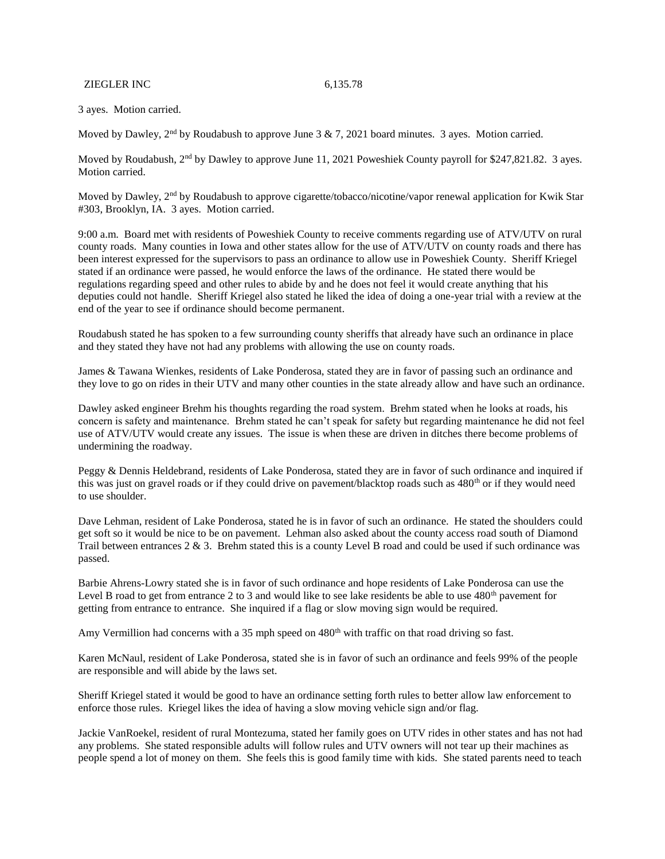ZIEGLER INC 6,135.78

3 ayes. Motion carried.

Moved by Dawley,  $2<sup>nd</sup>$  by Roudabush to approve June 3 & 7, 2021 board minutes. 3 ayes. Motion carried.

Moved by Roudabush, 2<sup>nd</sup> by Dawley to approve June 11, 2021 Poweshiek County payroll for \$247,821.82. 3 ayes. Motion carried.

Moved by Dawley, 2<sup>nd</sup> by Roudabush to approve cigarette/tobacco/nicotine/vapor renewal application for Kwik Star #303, Brooklyn, IA. 3 ayes. Motion carried.

9:00 a.m. Board met with residents of Poweshiek County to receive comments regarding use of ATV/UTV on rural county roads. Many counties in Iowa and other states allow for the use of ATV/UTV on county roads and there has been interest expressed for the supervisors to pass an ordinance to allow use in Poweshiek County. Sheriff Kriegel stated if an ordinance were passed, he would enforce the laws of the ordinance. He stated there would be regulations regarding speed and other rules to abide by and he does not feel it would create anything that his deputies could not handle. Sheriff Kriegel also stated he liked the idea of doing a one-year trial with a review at the end of the year to see if ordinance should become permanent.

Roudabush stated he has spoken to a few surrounding county sheriffs that already have such an ordinance in place and they stated they have not had any problems with allowing the use on county roads.

James & Tawana Wienkes, residents of Lake Ponderosa, stated they are in favor of passing such an ordinance and they love to go on rides in their UTV and many other counties in the state already allow and have such an ordinance.

Dawley asked engineer Brehm his thoughts regarding the road system. Brehm stated when he looks at roads, his concern is safety and maintenance. Brehm stated he can't speak for safety but regarding maintenance he did not feel use of ATV/UTV would create any issues. The issue is when these are driven in ditches there become problems of undermining the roadway.

Peggy & Dennis Heldebrand, residents of Lake Ponderosa, stated they are in favor of such ordinance and inquired if this was just on gravel roads or if they could drive on pavement/blacktop roads such as 480<sup>th</sup> or if they would need to use shoulder.

Dave Lehman, resident of Lake Ponderosa, stated he is in favor of such an ordinance. He stated the shoulders could get soft so it would be nice to be on pavement. Lehman also asked about the county access road south of Diamond Trail between entrances 2 & 3. Brehm stated this is a county Level B road and could be used if such ordinance was passed.

Barbie Ahrens-Lowry stated she is in favor of such ordinance and hope residents of Lake Ponderosa can use the Level B road to get from entrance 2 to 3 and would like to see lake residents be able to use 480<sup>th</sup> pavement for getting from entrance to entrance. She inquired if a flag or slow moving sign would be required.

Amy Vermillion had concerns with a 35 mph speed on 480<sup>th</sup> with traffic on that road driving so fast.

Karen McNaul, resident of Lake Ponderosa, stated she is in favor of such an ordinance and feels 99% of the people are responsible and will abide by the laws set.

Sheriff Kriegel stated it would be good to have an ordinance setting forth rules to better allow law enforcement to enforce those rules. Kriegel likes the idea of having a slow moving vehicle sign and/or flag.

Jackie VanRoekel, resident of rural Montezuma, stated her family goes on UTV rides in other states and has not had any problems. She stated responsible adults will follow rules and UTV owners will not tear up their machines as people spend a lot of money on them. She feels this is good family time with kids. She stated parents need to teach